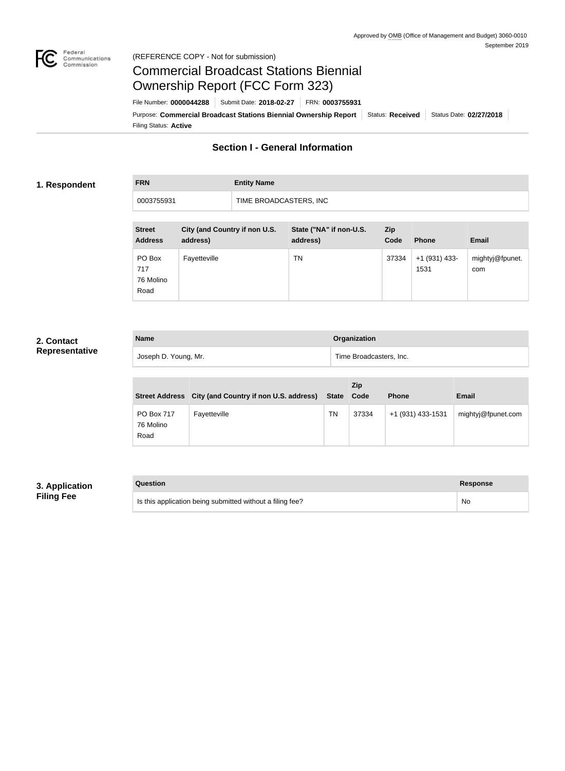

#### Federal<br>Communications<br>Commission (REFERENCE COPY - Not for submission)

# Commercial Broadcast Stations Biennial Ownership Report (FCC Form 323)

Filing Status: **Active** Purpose: Commercial Broadcast Stations Biennial Ownership Report Status: Received Status Date: 02/27/2018 File Number: **0000044288** Submit Date: **2018-02-27** FRN: **0003755931**

### **Section I - General Information**

#### **1. Respondent**

## **FRN Entity Name** 0003755931 TIME BROADCASTERS, INC

| <b>Street</b><br><b>Address</b>    | City (and Country if non U.S.<br>address) | State ("NA" if non-U.S.<br>address) | <b>Zip</b><br>Code | <b>Phone</b>          | <b>Email</b>           |
|------------------------------------|-------------------------------------------|-------------------------------------|--------------------|-----------------------|------------------------|
| PO Box<br>717<br>76 Molino<br>Road | Fayetteville                              | ΤN                                  | 37334              | +1 (931) 433-<br>1531 | mightyj@fpunet.<br>com |

#### **2. Contact Representative**

| <b>Name</b>          | Organization            |
|----------------------|-------------------------|
| Joseph D. Young, Mr. | Time Broadcasters, Inc. |

|                                 | Street Address City (and Country if non U.S. address) | State Code | <b>Zip</b> | <b>Phone</b>      | <b>Email</b>       |
|---------------------------------|-------------------------------------------------------|------------|------------|-------------------|--------------------|
| PO Box 717<br>76 Molino<br>Road | Fayetteville                                          | ΤN         | 37334      | +1 (931) 433-1531 | mightyj@fpunet.com |

### **3. Application Filing Fee**

| Question                                                  | Response |
|-----------------------------------------------------------|----------|
| Is this application being submitted without a filing fee? | No       |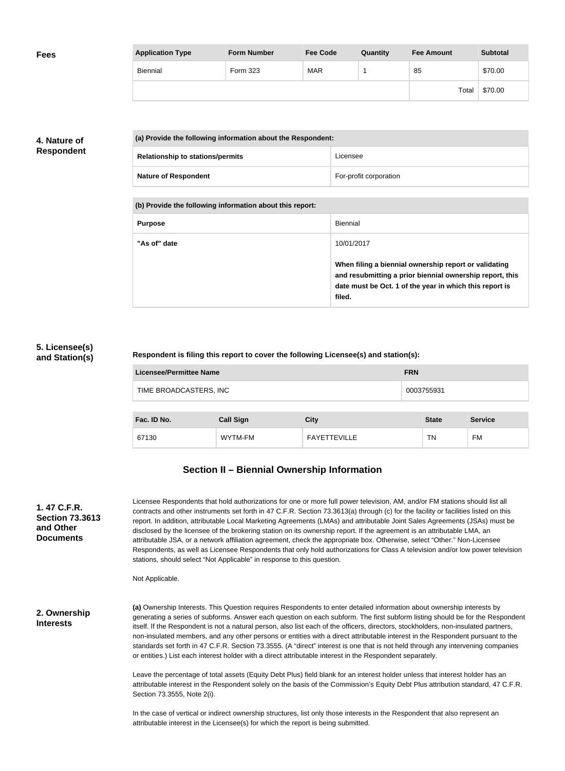| <b>Fees</b> | <b>Application Type</b> | <b>Form Number</b> | <b>Fee Code</b> | Quantity | <b>Fee Amount</b> | <b>Subtotal</b> |
|-------------|-------------------------|--------------------|-----------------|----------|-------------------|-----------------|
|             | Biennial                | Form 323           | <b>MAR</b>      |          | 85                | \$70.00         |
|             |                         |                    |                 |          | Total             | \$70.00         |

#### **4. Nature of Respondent**

| (a) Provide the following information about the Respondent: |                        |
|-------------------------------------------------------------|------------------------|
| <b>Relationship to stations/permits</b>                     | Licensee               |
| <b>Nature of Respondent</b>                                 | For-profit corporation |

**(b) Provide the following information about this report:**

| <b>Purpose</b> | <b>Biennial</b>                                                                                                                                                                        |
|----------------|----------------------------------------------------------------------------------------------------------------------------------------------------------------------------------------|
| "As of" date   | 10/01/2017                                                                                                                                                                             |
|                | When filing a biennial ownership report or validating<br>and resubmitting a prior biennial ownership report, this<br>date must be Oct. 1 of the year in which this report is<br>filed. |

#### **5. Licensee(s) and Station(s)**

#### **Respondent is filing this report to cover the following Licensee(s) and station(s):**

| Licensee/Permittee Name | <b>FRN</b> |
|-------------------------|------------|
| TIME BROADCASTERS, INC  | 0003755931 |

| Fac. ID No. | <b>Call Sign</b> | City                | <b>State</b> | <b>Service</b> |
|-------------|------------------|---------------------|--------------|----------------|
| 67130       | WYTM-FM          | <b>FAYETTEVILLE</b> | <b>TN</b>    | <b>FM</b>      |

## **Section II – Biennial Ownership Information**

| 1.47 C.F.R.<br><b>Section 73.3613</b><br>and Other<br><b>Documents</b> | Licensee Respondents that hold authorizations for one or more full power television, AM, and/or FM stations should list all<br>contracts and other instruments set forth in 47 C.F.R. Section 73.3613(a) through (c) for the facility or facilities listed on this<br>report. In addition, attributable Local Marketing Agreements (LMAs) and attributable Joint Sales Agreements (JSAs) must be<br>disclosed by the licensee of the brokering station on its ownership report. If the agreement is an attributable LMA, an<br>attributable JSA, or a network affiliation agreement, check the appropriate box. Otherwise, select "Other." Non-Licensee<br>Respondents, as well as Licensee Respondents that only hold authorizations for Class A television and/or low power television<br>stations, should select "Not Applicable" in response to this question.<br>Not Applicable. |
|------------------------------------------------------------------------|---------------------------------------------------------------------------------------------------------------------------------------------------------------------------------------------------------------------------------------------------------------------------------------------------------------------------------------------------------------------------------------------------------------------------------------------------------------------------------------------------------------------------------------------------------------------------------------------------------------------------------------------------------------------------------------------------------------------------------------------------------------------------------------------------------------------------------------------------------------------------------------|
| 2. Ownership<br><b>Interests</b>                                       | (a) Ownership Interests. This Question requires Respondents to enter detailed information about ownership interests by<br>generating a series of subforms. Answer each question on each subform. The first subform listing should be for the Respondent<br>itself. If the Respondent is not a natural person, also list each of the officers, directors, stockholders, non-insulated partners,<br>non-insulated members, and any other persons or entities with a direct attributable interest in the Respondent pursuant to the<br>standards set forth in 47 C.F.R. Section 73.3555. (A "direct" interest is one that is not held through any intervening companies<br>or entities.) List each interest holder with a direct attributable interest in the Respondent separately.                                                                                                     |
|                                                                        | Leave the percentage of total assets (Equity Debt Plus) field blank for an interest holder unless that interest holder has an<br>attributable interest in the Respondent solely on the basis of the Commission's Equity Debt Plus attribution standard, 47 C.F.R.<br>Section 73.3555, Note 2(i).                                                                                                                                                                                                                                                                                                                                                                                                                                                                                                                                                                                      |
|                                                                        | In the case of vertical or indirect ownership structures, list only those interests in the Respondent that also represent an<br>attributable interest in the Licensee(s) for which the report is being submitted.                                                                                                                                                                                                                                                                                                                                                                                                                                                                                                                                                                                                                                                                     |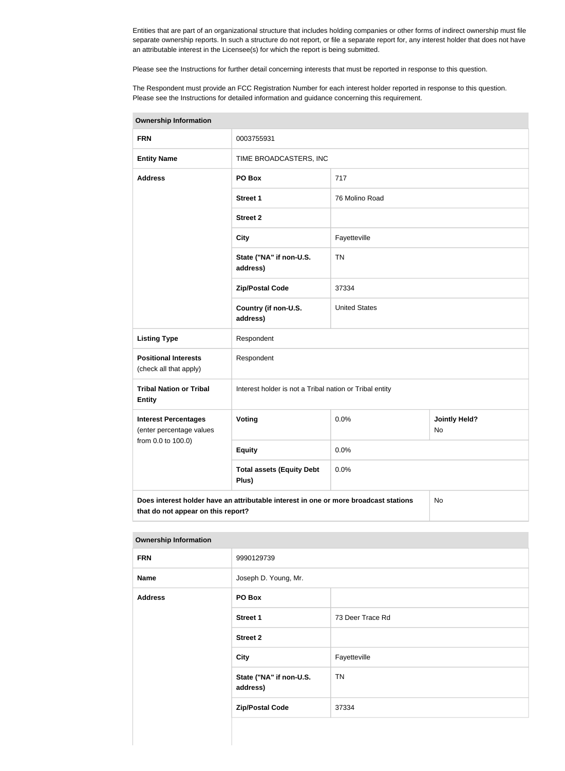Entities that are part of an organizational structure that includes holding companies or other forms of indirect ownership must file separate ownership reports. In such a structure do not report, or file a separate report for, any interest holder that does not have an attributable interest in the Licensee(s) for which the report is being submitted.

Please see the Instructions for further detail concerning interests that must be reported in response to this question.

The Respondent must provide an FCC Registration Number for each interest holder reported in response to this question. Please see the Instructions for detailed information and guidance concerning this requirement.

| <b>Ownership Information</b>                                                                                                     |                                                         |                      |                                   |  |
|----------------------------------------------------------------------------------------------------------------------------------|---------------------------------------------------------|----------------------|-----------------------------------|--|
| <b>FRN</b>                                                                                                                       | 0003755931                                              |                      |                                   |  |
| <b>Entity Name</b>                                                                                                               | TIME BROADCASTERS, INC                                  |                      |                                   |  |
| <b>Address</b>                                                                                                                   | PO Box                                                  | 717                  |                                   |  |
|                                                                                                                                  | <b>Street 1</b>                                         | 76 Molino Road       |                                   |  |
|                                                                                                                                  | <b>Street 2</b>                                         |                      |                                   |  |
|                                                                                                                                  | <b>City</b>                                             | Fayetteville         |                                   |  |
|                                                                                                                                  | State ("NA" if non-U.S.<br>address)                     | <b>TN</b>            |                                   |  |
|                                                                                                                                  | <b>Zip/Postal Code</b>                                  | 37334                |                                   |  |
|                                                                                                                                  | Country (if non-U.S.<br>address)                        | <b>United States</b> |                                   |  |
| <b>Listing Type</b>                                                                                                              | Respondent                                              |                      |                                   |  |
| <b>Positional Interests</b><br>(check all that apply)                                                                            | Respondent                                              |                      |                                   |  |
| <b>Tribal Nation or Tribal</b><br><b>Entity</b>                                                                                  | Interest holder is not a Tribal nation or Tribal entity |                      |                                   |  |
| <b>Interest Percentages</b><br>(enter percentage values                                                                          | Voting                                                  | 0.0%                 | <b>Jointly Held?</b><br><b>No</b> |  |
| from 0.0 to 100.0)                                                                                                               | <b>Equity</b>                                           | 0.0%                 |                                   |  |
|                                                                                                                                  | <b>Total assets (Equity Debt</b><br>Plus)               | 0.0%                 |                                   |  |
| Does interest holder have an attributable interest in one or more broadcast stations<br>No<br>that do not appear on this report? |                                                         |                      |                                   |  |

#### **Ownership Information**

| ___            |                                     |                  |
|----------------|-------------------------------------|------------------|
| <b>FRN</b>     | 9990129739                          |                  |
| <b>Name</b>    | Joseph D. Young, Mr.                |                  |
| <b>Address</b> | PO Box                              |                  |
|                | <b>Street 1</b>                     | 73 Deer Trace Rd |
|                | <b>Street 2</b>                     |                  |
|                | <b>City</b>                         | Fayetteville     |
|                | State ("NA" if non-U.S.<br>address) | <b>TN</b>        |
|                | <b>Zip/Postal Code</b>              | 37334            |
|                |                                     |                  |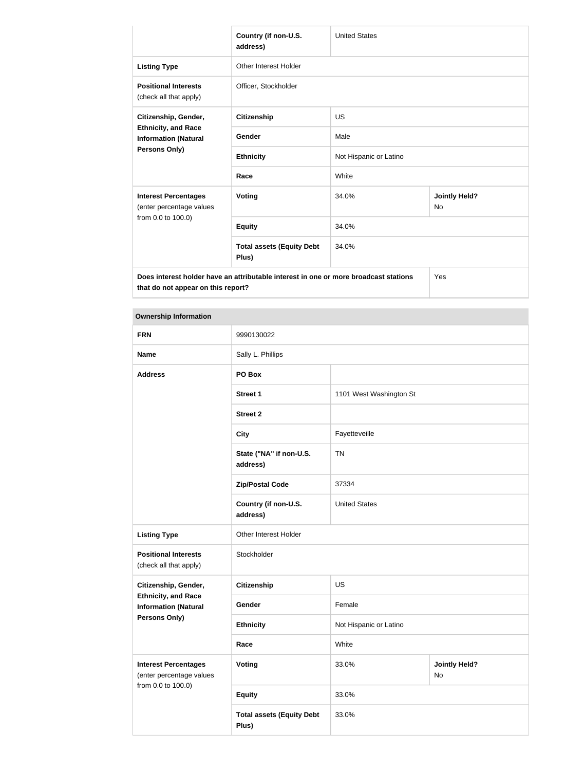|                                                                                             | Country (if non-U.S.<br>address)          | <b>United States</b>   |                                   |
|---------------------------------------------------------------------------------------------|-------------------------------------------|------------------------|-----------------------------------|
| <b>Listing Type</b>                                                                         | Other Interest Holder                     |                        |                                   |
| <b>Positional Interests</b><br>(check all that apply)                                       | Officer, Stockholder                      |                        |                                   |
| Citizenship, Gender,<br><b>Ethnicity, and Race</b><br><b>Information (Natural</b>           | Citizenship                               | <b>US</b>              |                                   |
|                                                                                             | Gender                                    | Male                   |                                   |
| <b>Persons Only)</b>                                                                        | <b>Ethnicity</b>                          | Not Hispanic or Latino |                                   |
|                                                                                             | Race                                      | White                  |                                   |
| <b>Interest Percentages</b><br>(enter percentage values                                     | <b>Voting</b>                             | 34.0%                  | <b>Jointly Held?</b><br><b>No</b> |
| from 0.0 to 100.0)                                                                          | <b>Equity</b>                             | 34.0%                  |                                   |
|                                                                                             | <b>Total assets (Equity Debt</b><br>Plus) | 34.0%                  |                                   |
| Does interest holder have an attributable interest in one or more broadcast stations<br>Yes |                                           |                        |                                   |

#### **Ownership Information**

**that do not appear on this report?**

| <b>FRN</b>                                                                    | 9990130022                                |                         |                            |
|-------------------------------------------------------------------------------|-------------------------------------------|-------------------------|----------------------------|
| <b>Name</b>                                                                   | Sally L. Phillips                         |                         |                            |
| <b>Address</b>                                                                | PO Box                                    |                         |                            |
|                                                                               | <b>Street 1</b>                           | 1101 West Washington St |                            |
|                                                                               | <b>Street 2</b>                           |                         |                            |
|                                                                               | <b>City</b>                               | Fayetteveille           |                            |
|                                                                               | State ("NA" if non-U.S.<br>address)       | <b>TN</b>               |                            |
|                                                                               | <b>Zip/Postal Code</b>                    | 37334                   |                            |
|                                                                               | Country (if non-U.S.<br>address)          | <b>United States</b>    |                            |
| <b>Listing Type</b>                                                           | Other Interest Holder                     |                         |                            |
| <b>Positional Interests</b><br>(check all that apply)                         | Stockholder                               |                         |                            |
| Citizenship, Gender,                                                          | <b>Citizenship</b>                        | US                      |                            |
| <b>Ethnicity, and Race</b><br><b>Information (Natural</b>                     | Gender                                    | Female                  |                            |
| <b>Persons Only)</b>                                                          | <b>Ethnicity</b>                          | Not Hispanic or Latino  |                            |
|                                                                               | Race                                      | White                   |                            |
| <b>Interest Percentages</b><br>(enter percentage values<br>from 0.0 to 100.0) | <b>Voting</b>                             | 33.0%                   | <b>Jointly Held?</b><br>No |
|                                                                               | <b>Equity</b>                             | 33.0%                   |                            |
|                                                                               | <b>Total assets (Equity Debt</b><br>Plus) | 33.0%                   |                            |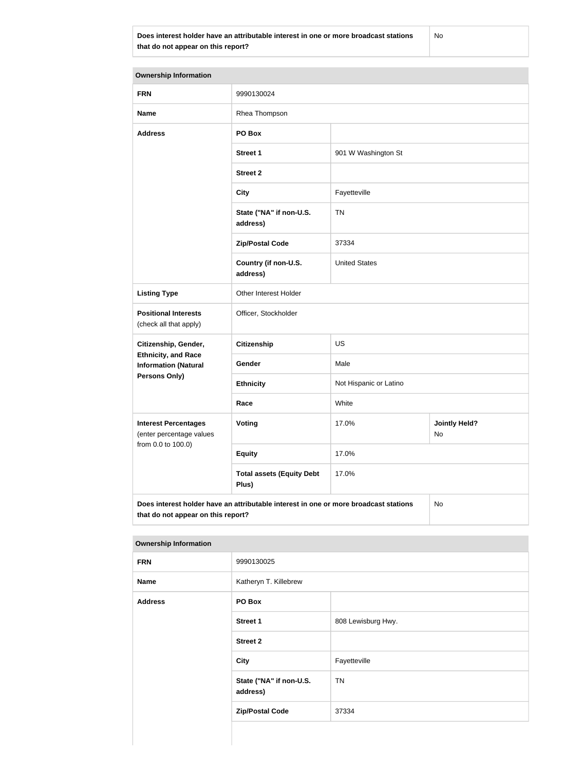**Does interest holder have an attributable interest in one or more broadcast stations that do not appear on this report?**

No

| <b>Ownership Information</b>                                                                                                     |                                           |                        |                            |  |
|----------------------------------------------------------------------------------------------------------------------------------|-------------------------------------------|------------------------|----------------------------|--|
| <b>FRN</b>                                                                                                                       | 9990130024                                |                        |                            |  |
| <b>Name</b>                                                                                                                      | Rhea Thompson                             |                        |                            |  |
| <b>Address</b>                                                                                                                   | PO Box                                    |                        |                            |  |
|                                                                                                                                  | <b>Street 1</b>                           | 901 W Washington St    |                            |  |
|                                                                                                                                  | <b>Street 2</b>                           |                        |                            |  |
|                                                                                                                                  | <b>City</b>                               | Fayetteville           |                            |  |
|                                                                                                                                  | State ("NA" if non-U.S.<br>address)       | <b>TN</b>              |                            |  |
|                                                                                                                                  | <b>Zip/Postal Code</b>                    | 37334                  |                            |  |
|                                                                                                                                  | Country (if non-U.S.<br>address)          | <b>United States</b>   |                            |  |
| <b>Listing Type</b>                                                                                                              | Other Interest Holder                     |                        |                            |  |
| <b>Positional Interests</b><br>(check all that apply)                                                                            | Officer, Stockholder                      |                        |                            |  |
| Citizenship, Gender,                                                                                                             | <b>Citizenship</b>                        | US                     |                            |  |
| <b>Ethnicity, and Race</b><br><b>Information (Natural</b>                                                                        | Gender                                    | Male                   |                            |  |
| Persons Only)                                                                                                                    | <b>Ethnicity</b>                          | Not Hispanic or Latino |                            |  |
|                                                                                                                                  | Race                                      | White                  |                            |  |
| <b>Interest Percentages</b><br>(enter percentage values                                                                          | Voting                                    | 17.0%                  | <b>Jointly Held?</b><br>No |  |
| from 0.0 to 100.0)                                                                                                               | <b>Equity</b>                             | 17.0%                  |                            |  |
|                                                                                                                                  | <b>Total assets (Equity Debt</b><br>Plus) | 17.0%                  |                            |  |
| Does interest holder have an attributable interest in one or more broadcast stations<br>No<br>that do not appear on this report? |                                           |                        |                            |  |

| <b>FRN</b>               | 9990130025                          |                    |
|--------------------------|-------------------------------------|--------------------|
| <b>Name</b>              | Katheryn T. Killebrew               |                    |
| <b>Address</b><br>PO Box |                                     |                    |
|                          | <b>Street 1</b>                     | 808 Lewisburg Hwy. |
|                          | <b>Street 2</b>                     |                    |
|                          | <b>City</b>                         | Fayetteville       |
|                          | State ("NA" if non-U.S.<br>address) | <b>TN</b>          |
|                          | <b>Zip/Postal Code</b>              | 37334              |
|                          |                                     |                    |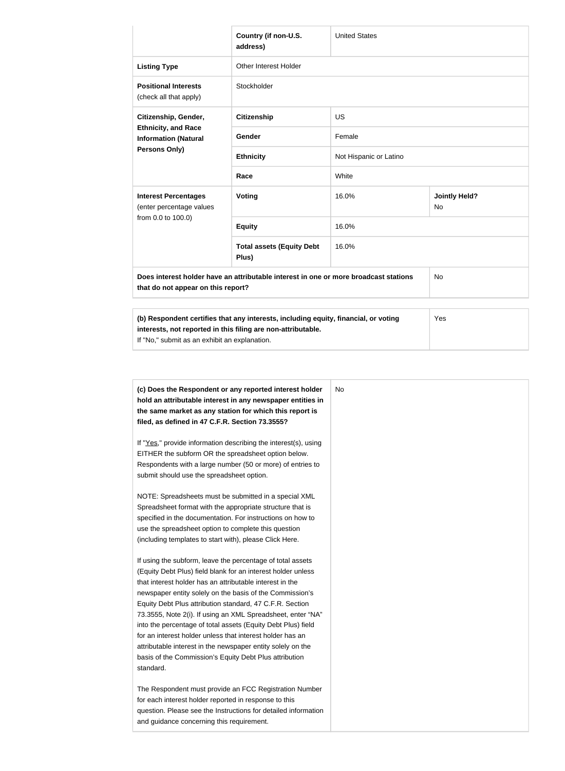|                                                                                                                                                     | Country (if non-U.S.<br>address)          | <b>United States</b>   |                            |  |
|-----------------------------------------------------------------------------------------------------------------------------------------------------|-------------------------------------------|------------------------|----------------------------|--|
| <b>Listing Type</b>                                                                                                                                 | Other Interest Holder                     |                        |                            |  |
| <b>Positional Interests</b><br>(check all that apply)                                                                                               | Stockholder                               |                        |                            |  |
| <b>US</b><br>Citizenship, Gender,<br><b>Citizenship</b>                                                                                             |                                           |                        |                            |  |
| <b>Ethnicity, and Race</b><br><b>Information (Natural</b><br><b>Persons Only)</b>                                                                   | Gender                                    | Female                 |                            |  |
|                                                                                                                                                     | <b>Ethnicity</b>                          | Not Hispanic or Latino |                            |  |
|                                                                                                                                                     | Race                                      | White                  |                            |  |
| <b>Interest Percentages</b><br>(enter percentage values                                                                                             | <b>Voting</b>                             | 16.0%                  | <b>Jointly Held?</b><br>No |  |
| from 0.0 to 100.0)                                                                                                                                  | <b>Equity</b>                             | 16.0%                  |                            |  |
|                                                                                                                                                     | <b>Total assets (Equity Debt</b><br>Plus) | 16.0%                  |                            |  |
| Does interest holder have an attributable interest in one or more broadcast stations<br><b>No</b><br>that do not appear on this report?             |                                           |                        |                            |  |
| (b) Respondent certifies that any interests, including equity, financial, or voting<br>interests, not reported in this filing are non-attributable. |                                           |                        | Yes                        |  |

If "No," submit as an exhibit an explanation.

| (c) Does the Respondent or any reported interest holder<br>hold an attributable interest in any newspaper entities in | No. |
|-----------------------------------------------------------------------------------------------------------------------|-----|
| the same market as any station for which this report is                                                               |     |
| filed, as defined in 47 C.F.R. Section 73.3555?                                                                       |     |
| If "Yes," provide information describing the interest(s), using                                                       |     |
| EITHER the subform OR the spreadsheet option below.                                                                   |     |
| Respondents with a large number (50 or more) of entries to                                                            |     |
| submit should use the spreadsheet option.                                                                             |     |
| NOTE: Spreadsheets must be submitted in a special XML                                                                 |     |
| Spreadsheet format with the appropriate structure that is                                                             |     |
| specified in the documentation. For instructions on how to                                                            |     |
| use the spreadsheet option to complete this question                                                                  |     |
| (including templates to start with), please Click Here.                                                               |     |
| If using the subform, leave the percentage of total assets                                                            |     |
| (Equity Debt Plus) field blank for an interest holder unless                                                          |     |
| that interest holder has an attributable interest in the                                                              |     |
| newspaper entity solely on the basis of the Commission's                                                              |     |
| Equity Debt Plus attribution standard, 47 C.F.R. Section                                                              |     |
| 73.3555, Note 2(i). If using an XML Spreadsheet, enter "NA"                                                           |     |
| into the percentage of total assets (Equity Debt Plus) field                                                          |     |
| for an interest holder unless that interest holder has an                                                             |     |
| attributable interest in the newspaper entity solely on the                                                           |     |
| basis of the Commission's Equity Debt Plus attribution                                                                |     |
| standard.                                                                                                             |     |
| The Respondent must provide an FCC Registration Number                                                                |     |
| for each interest holder reported in response to this                                                                 |     |
| question. Please see the Instructions for detailed information                                                        |     |
| and guidance concerning this requirement.                                                                             |     |